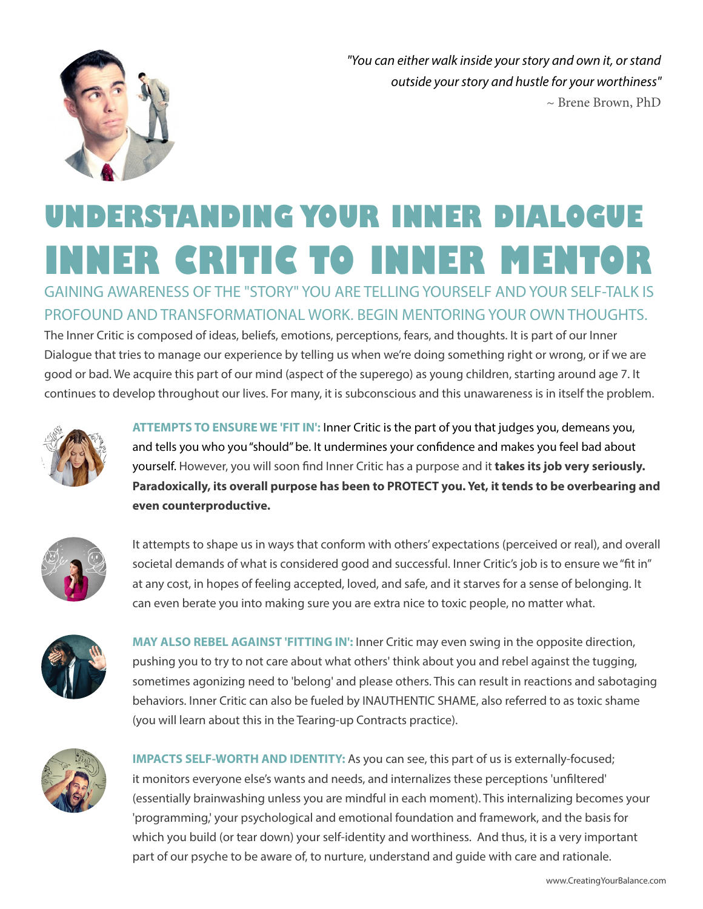

*"You can either walk inside your story and own it, or stand outside your story and hustle for your worthiness"*  $\sim$  Brene Brown, PhD

# **UNDERSTANDING YOUR INNER DIALOGUE INNER CRITIC TO INNER MENTOR**

GAINING AWARENESS OF THE "STORY" YOU ARE TELLING YOURSELF AND YOUR SELF-TALK IS PROFOUND AND TRANSFORMATIONAL WORK. BEGIN MENTORING YOUR OWN THOUGHTS.

The Inner Critic is composed of ideas, beliefs, emotions, perceptions, fears, and thoughts. It is part of our Inner Dialogue that tries to manage our experience by telling us when we're doing something right or wrong, or if we are good or bad. We acquire this part of our mind (aspect of the superego) as young children, starting around age 7. It continues to develop throughout our lives. For many, it is subconscious and this unawareness is in itself the problem.



**ATTEMPTS TO ENSURE WE 'FIT IN':** Inner Critic is the part of you that judges you, demeans you, and tells you who you "should" be. It undermines your confidence and makes you feel bad about yourself. However, you will soon find Inner Critic has a purpose and it **takes its job very seriously. Paradoxically, its overall purpose has been to PROTECT you. Yet, it tends to be overbearing and even counterproductive.** 



It attempts to shape us in ways that conform with others' expectations (perceived or real), and overall societal demands of what is considered good and successful. Inner Critic's job is to ensure we "fit in" at any cost, in hopes of feeling accepted, loved, and safe, and it starves for a sense of belonging. It can even berate you into making sure you are extra nice to toxic people, no matter what.



**MAY ALSO REBEL AGAINST 'FITTING IN':** Inner Critic may even swing in the opposite direction, pushing you to try to not care about what others' think about you and rebel against the tugging, sometimes agonizing need to 'belong' and please others. This can result in reactions and sabotaging behaviors. Inner Critic can also be fueled by INAUTHENTIC SHAME, also referred to as toxic shame (you will learn about this in the Tearing-up Contracts practice).



**IMPACTS SELF-WORTH AND IDENTITY:** As you can see, this part of us is externally-focused; it monitors everyone else's wants and needs, and internalizes these perceptions 'unfiltered' (essentially brainwashing unless you are mindful in each moment). This internalizing becomes your 'programming,' your psychological and emotional foundation and framework, and the basis for which you build (or tear down) your self-identity and worthiness. And thus, it is a very important part of our psyche to be aware of, to nurture, understand and guide with care and rationale.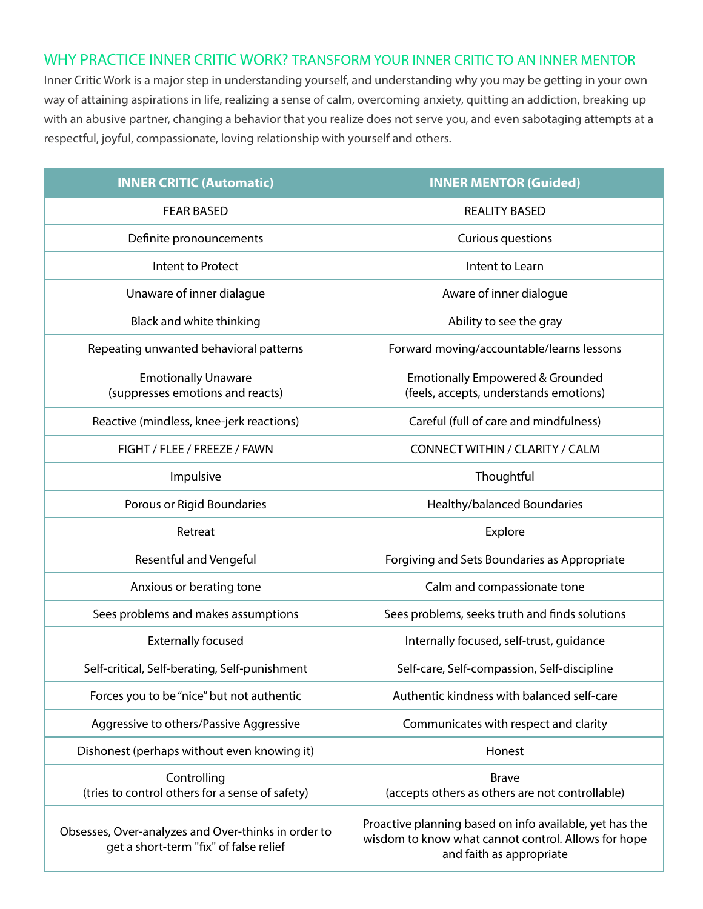## WHY PRACTICE INNER CRITIC WORK? TRANSFORM YOUR INNER CRITIC TO AN INNER MENTOR

Inner Critic Work is a major step in understanding yourself, and understanding why you may be getting in your own way of attaining aspirations in life, realizing a sense of calm, overcoming anxiety, quitting an addiction, breaking up with an abusive partner, changing a behavior that you realize does not serve you, and even sabotaging attempts at a respectful, joyful, compassionate, loving relationship with yourself and others.

| <b>INNER CRITIC (Automatic)</b>                                                               | <b>INNER MENTOR (Guided)</b>                                                                                                               |
|-----------------------------------------------------------------------------------------------|--------------------------------------------------------------------------------------------------------------------------------------------|
| <b>FEAR BASED</b>                                                                             | <b>REALITY BASED</b>                                                                                                                       |
| Definite pronouncements                                                                       | Curious questions                                                                                                                          |
| Intent to Protect                                                                             | Intent to Learn                                                                                                                            |
| Unaware of inner dialague                                                                     | Aware of inner dialogue                                                                                                                    |
| Black and white thinking                                                                      | Ability to see the gray                                                                                                                    |
| Repeating unwanted behavioral patterns                                                        | Forward moving/accountable/learns lessons                                                                                                  |
| <b>Emotionally Unaware</b><br>(suppresses emotions and reacts)                                | <b>Emotionally Empowered &amp; Grounded</b><br>(feels, accepts, understands emotions)                                                      |
| Reactive (mindless, knee-jerk reactions)                                                      | Careful (full of care and mindfulness)                                                                                                     |
| FIGHT / FLEE / FREEZE / FAWN                                                                  | CONNECT WITHIN / CLARITY / CALM                                                                                                            |
| Impulsive                                                                                     | Thoughtful                                                                                                                                 |
| Porous or Rigid Boundaries                                                                    | Healthy/balanced Boundaries                                                                                                                |
| Retreat                                                                                       | Explore                                                                                                                                    |
| <b>Resentful and Vengeful</b>                                                                 | Forgiving and Sets Boundaries as Appropriate                                                                                               |
| Anxious or berating tone                                                                      | Calm and compassionate tone                                                                                                                |
| Sees problems and makes assumptions                                                           | Sees problems, seeks truth and finds solutions                                                                                             |
| <b>Externally focused</b>                                                                     | Internally focused, self-trust, guidance                                                                                                   |
| Self-critical, Self-berating, Self-punishment                                                 | Self-care, Self-compassion, Self-discipline                                                                                                |
| Forces you to be "nice" but not authentic                                                     | Authentic kindness with balanced self-care                                                                                                 |
| Aggressive to others/Passive Aggressive                                                       | Communicates with respect and clarity                                                                                                      |
| Dishonest (perhaps without even knowing it)                                                   | Honest                                                                                                                                     |
| Controlling<br>(tries to control others for a sense of safety)                                | <b>Brave</b><br>(accepts others as others are not controllable)                                                                            |
| Obsesses, Over-analyzes and Over-thinks in order to<br>get a short-term "fix" of false relief | Proactive planning based on info available, yet has the<br>wisdom to know what cannot control. Allows for hope<br>and faith as appropriate |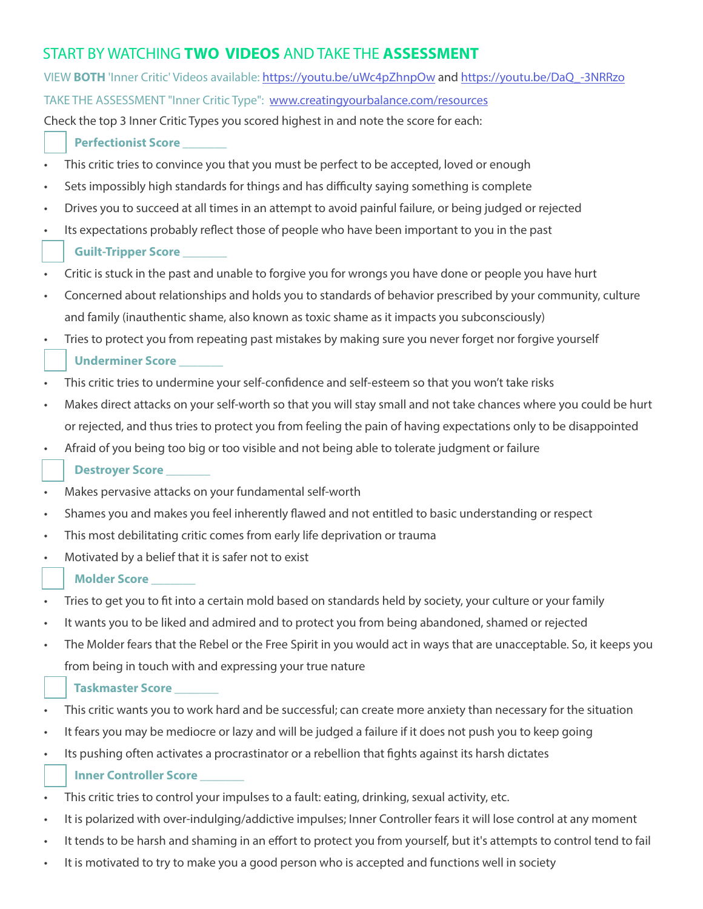# START BY WATCHING **TWO VIDEOS** AND TAKE THE **ASSESSMENT**

| VIEW BOTH 'Inner Critic' Videos available: https://youtu.be/uWc4pZhnpOw and https://youtu.be/DaQ -3NRRzo                         |
|----------------------------------------------------------------------------------------------------------------------------------|
| TAKE THE ASSESSMENT "Inner Critic Type": www.creatingyourbalance.com/resources                                                   |
| Check the top 3 Inner Critic Types you scored highest in and note the score for each:                                            |
| <b>Perfectionist Score</b>                                                                                                       |
| This critic tries to convince you that you must be perfect to be accepted, loved or enough                                       |
| Sets impossibly high standards for things and has difficulty saying something is complete<br>$\bullet$                           |
| Drives you to succeed at all times in an attempt to avoid painful failure, or being judged or rejected<br>$\bullet$              |
| Its expectations probably reflect those of people who have been important to you in the past<br>$\bullet$                        |
| Guilt-Tripper Score _______                                                                                                      |
| Critic is stuck in the past and unable to forgive you for wrongs you have done or people you have hurt<br>$\bullet$              |
| Concerned about relationships and holds you to standards of behavior prescribed by your community, culture<br>$\bullet$          |
| and family (inauthentic shame, also known as toxic shame as it impacts you subconsciously)                                       |
| Tries to protect you from repeating past mistakes by making sure you never forget nor forgive yourself<br>$\bullet$              |
| Underminer Score                                                                                                                 |
| This critic tries to undermine your self-confidence and self-esteem so that you won't take risks<br>$\bullet$                    |
| Makes direct attacks on your self-worth so that you will stay small and not take chances where you could be hurt<br>$\bullet$    |
| or rejected, and thus tries to protect you from feeling the pain of having expectations only to be disappointed                  |
| Afraid of you being too big or too visible and not being able to tolerate judgment or failure<br>$\bullet$                       |
| Destroyer Score _______                                                                                                          |
| Makes pervasive attacks on your fundamental self-worth<br>$\bullet$                                                              |
| Shames you and makes you feel inherently flawed and not entitled to basic understanding or respect<br>$\bullet$                  |
| This most debilitating critic comes from early life deprivation or trauma<br>$\bullet$                                           |
| Motivated by a belief that it is safer not to exist<br>$\bullet$                                                                 |
| <b>Molder Score</b>                                                                                                              |
| Tries to get you to fit into a certain mold based on standards held by society, your culture or your family                      |
| It wants you to be liked and admired and to protect you from being abandoned, shamed or rejected<br>$\bullet$                    |
| The Molder fears that the Rebel or the Free Spirit in you would act in ways that are unacceptable. So, it keeps you<br>$\bullet$ |
| from being in touch with and expressing your true nature                                                                         |
|                                                                                                                                  |
| <b>Taskmaster Score</b>                                                                                                          |
| This critic wants you to work hard and be successful; can create more anxiety than necessary for the situation                   |
| It fears you may be mediocre or lazy and will be judged a failure if it does not push you to keep going<br>$\bullet$             |
| Its pushing often activates a procrastinator or a rebellion that fights against its harsh dictates<br>٠                          |
| <b>Inner Controller Score</b>                                                                                                    |
| This critic tries to control your impulses to a fault: eating, drinking, sexual activity, etc.                                   |
| It is polarized with over-indulging/addictive impulses; Inner Controller fears it will lose control at any moment<br>$\bullet$   |

- It tends to be harsh and shaming in an effort to protect you from yourself, but it's attempts to control tend to fail
- It is motivated to try to make you a good person who is accepted and functions well in society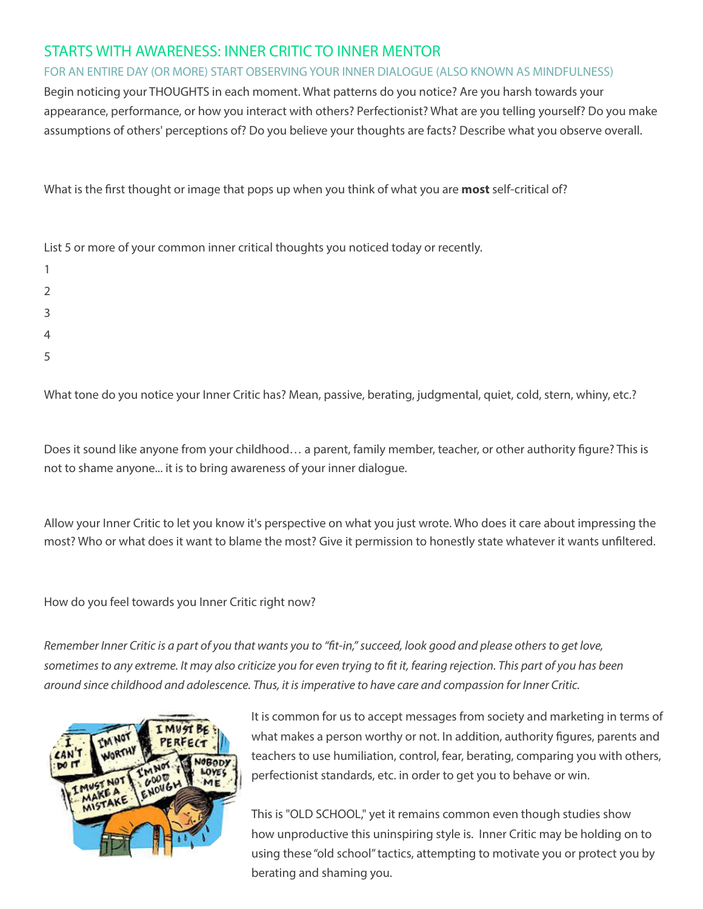## STARTS WITH AWARENESS: INNER CRITIC TO INNER MENTOR

FOR AN ENTIRE DAY (OR MORE) START OBSERVING YOUR INNER DIALOGUE (ALSO KNOWN AS MINDFULNESS)

Begin noticing your THOUGHTS in each moment. What patterns do you notice? Are you harsh towards your appearance, performance, or how you interact with others? Perfectionist? What are you telling yourself? Do you make assumptions of others' perceptions of? Do you believe your thoughts are facts? Describe what you observe overall.

What is the first thought or image that pops up when you think of what you are **most** self-critical of?

| List 5 or more of your common inner critical thoughts you noticed today or recently. |
|--------------------------------------------------------------------------------------|
|                                                                                      |
| 2                                                                                    |
| 3                                                                                    |
| $\overline{4}$                                                                       |
| 5                                                                                    |

What tone do you notice your Inner Critic has? Mean, passive, berating, judgmental, quiet, cold, stern, whiny, etc.?

Does it sound like anyone from your childhood… a parent, family member, teacher, or other authority figure? This is not to shame anyone... it is to bring awareness of your inner dialogue.

Allow your Inner Critic to let you know it's perspective on what you just wrote. Who does it care about impressing the most? Who or what does it want to blame the most? Give it permission to honestly state whatever it wants unfiltered.

How do you feel towards you Inner Critic right now?

*Remember Inner Critic is a part of you that wants you to "fit-in," succeed, look good and please others to get love, sometimes to any extreme. It may also criticize you for even trying to fit it, fearing rejection. This part of you has been around since childhood and adolescence. Thus, it is imperative to have care and compassion for Inner Critic.* 



 It is common for us to accept messages from society and marketing in terms of what makes a person worthy or not. In addition, authority figures, parents and teachers to use humiliation, control, fear, berating, comparing you with others, perfectionist standards, etc. in order to get you to behave or win.

This is "OLD SCHOOL," yet it remains common even though studies show how unproductive this uninspiring style is. Inner Critic may be holding on to using these "old school" tactics, attempting to motivate you or protect you by berating and shaming you.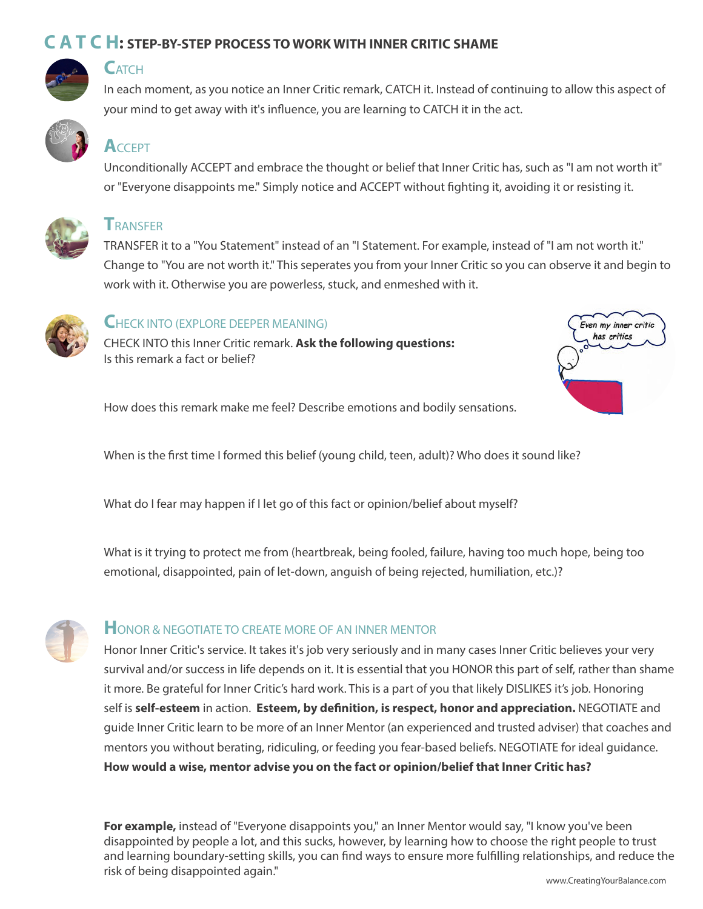## **C A T C H: STEP-BY-STEP PROCESS TO WORK WITH INNER CRITIC SHAME**



## **C**ATCH

In each moment, as you notice an Inner Critic remark, CATCH it. Instead of continuing to allow this aspect of your mind to get away with it's influence, you are learning to CATCH it in the act.



# **A**CCEPT

Unconditionally ACCEPT and embrace the thought or belief that Inner Critic has, such as "I am not worth it" or "Everyone disappoints me." Simply notice and ACCEPT without fighting it, avoiding it or resisting it.



## **T**RANSFER

TRANSFER it to a "You Statement" instead of an "I Statement. For example, instead of "I am not worth it." Change to "You are not worth it." This seperates you from your Inner Critic so you can observe it and begin to work with it. Otherwise you are powerless, stuck, and enmeshed with it.



#### **C**HECK INTO (EXPLORE DEEPER MEANING)

CHECK INTO this Inner Critic remark. **Ask the following questions:** Is this remark a fact or belief?



How does this remark make me feel? Describe emotions and bodily sensations.

When is the first time I formed this belief (young child, teen, adult)? Who does it sound like?

What do I fear may happen if I let go of this fact or opinion/belief about myself?

What is it trying to protect me from (heartbreak, being fooled, failure, having too much hope, being too emotional, disappointed, pain of let-down, anguish of being rejected, humiliation, etc.)?



## **HONOR & NEGOTIATE TO CREATE MORE OF AN INNER MENTOR**

Honor Inner Critic's service. It takes it's job very seriously and in many cases Inner Critic believes your very survival and/or success in life depends on it. It is essential that you HONOR this part of self, rather than shame it more. Be grateful for Inner Critic's hard work. This is a part of you that likely DISLIKES it's job. Honoring self is **self-esteem** in action. **Esteem, by definition, is respect, honor and appreciation.** NEGOTIATE and guide Inner Critic learn to be more of an Inner Mentor (an experienced and trusted adviser) that coaches and mentors you without berating, ridiculing, or feeding you fear-based beliefs. NEGOTIATE for ideal guidance. **How would a wise, mentor advise you on the fact or opinion/belief that Inner Critic has?**

**For example,** instead of "Everyone disappoints you," an Inner Mentor would say, "I know you've been disappointed by people a lot, and this sucks, however, by learning how to choose the right people to trust and learning boundary-setting skills, you can find ways to ensure more fulfilling relationships, and reduce the risk of being disappointed again." www.CreatingYourBalance.com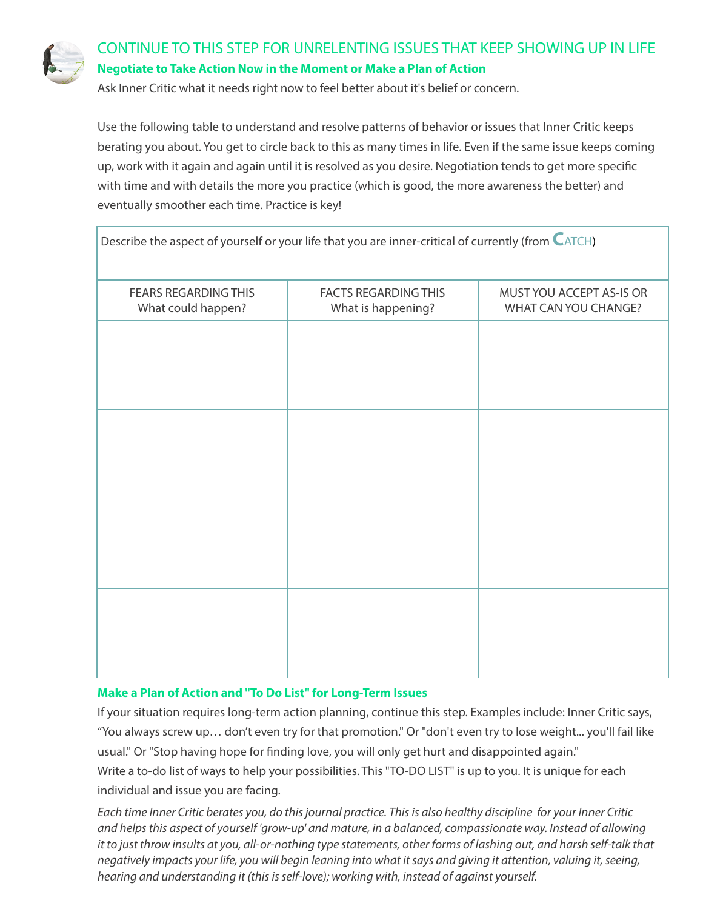

## CONTINUE TO THIS STEP FOR UNRELENTING ISSUES THAT KEEP SHOWING UP IN LIFE **Negotiate to Take Action Now in the Moment or Make a Plan of Action**

Ask Inner Critic what it needs right now to feel better about it's belief or concern.

Use the following table to understand and resolve patterns of behavior or issues that Inner Critic keeps berating you about. You get to circle back to this as many times in life. Even if the same issue keeps coming up, work with it again and again until it is resolved as you desire. Negotiation tends to get more specific with time and with details the more you practice (which is good, the more awareness the better) and eventually smoother each time. Practice is key!

| Describe the aspect of yourself or your life that you are inner-critical of currently (from $\blacksquare$ ATCH) |                                                   |                                                  |
|------------------------------------------------------------------------------------------------------------------|---------------------------------------------------|--------------------------------------------------|
| <b>FEARS REGARDING THIS</b><br>What could happen?                                                                | <b>FACTS REGARDING THIS</b><br>What is happening? | MUST YOU ACCEPT AS-IS OR<br>WHAT CAN YOU CHANGE? |
|                                                                                                                  |                                                   |                                                  |
|                                                                                                                  |                                                   |                                                  |
|                                                                                                                  |                                                   |                                                  |
|                                                                                                                  |                                                   |                                                  |
|                                                                                                                  |                                                   |                                                  |
|                                                                                                                  |                                                   |                                                  |
|                                                                                                                  |                                                   |                                                  |
|                                                                                                                  |                                                   |                                                  |
|                                                                                                                  |                                                   |                                                  |

#### **Make a Plan of Action and "To Do List" for Long-Term Issues**

If your situation requires long-term action planning, continue this step. Examples include: Inner Critic says, "You always screw up… don't even try for that promotion." Or "don't even try to lose weight... you'll fail like usual." Or "Stop having hope for finding love, you will only get hurt and disappointed again." Write a to-do list of ways to help your possibilities. This "TO-DO LIST" is up to you. It is unique for each individual and issue you are facing.

*Each time Inner Critic berates you, do this journal practice. This is also healthy discipline for your Inner Critic and helps this aspect of yourself 'grow-up' and mature, in a balanced, compassionate way. Instead of allowing it to just throw insults at you, all-or-nothing type statements, other forms of lashing out, and harsh self-talk that negatively impacts your life, you will begin leaning into what it says and giving it attention, valuing it, seeing, hearing and understanding it (this is self-love); working with, instead of against yourself.*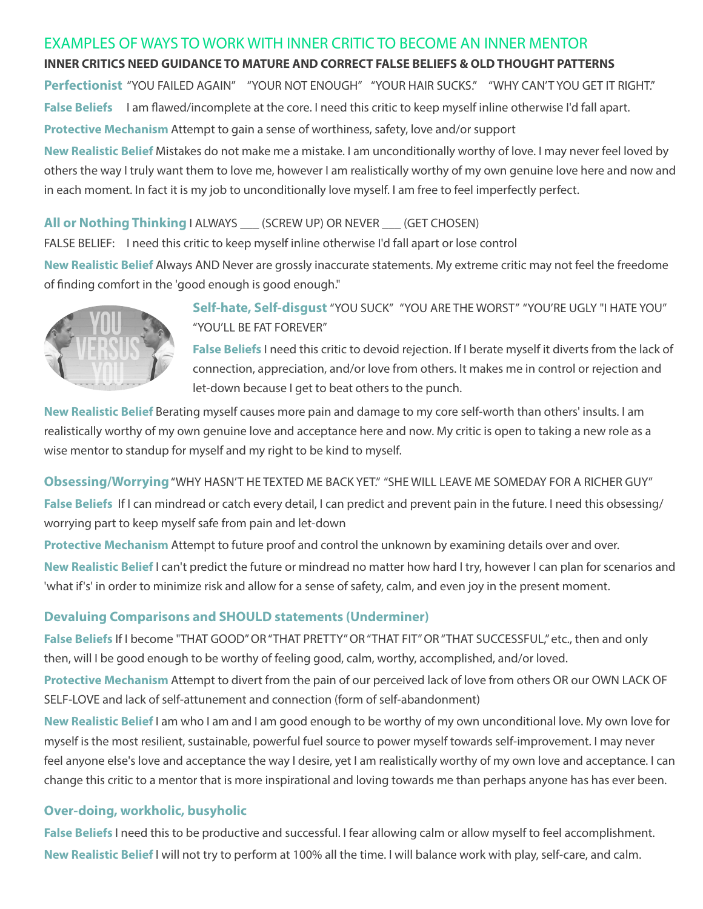### EXAMPLES OF WAYS TO WORK WITH INNER CRITIC TO BECOME AN INNER MENTOR

#### **INNER CRITICS NEED GUIDANCE TO MATURE AND CORRECT FALSE BELIEFS & OLD THOUGHT PATTERNS**

**Perfectionist** "YOU FAILED AGAIN" "YOUR NOT ENOUGH" "YOUR HAIR SUCKS." "WHY CAN'T YOU GET IT RIGHT." False Beliefs I am flawed/incomplete at the core. I need this critic to keep myself inline otherwise I'd fall apart. **Protective Mechanism** Attempt to gain a sense of worthiness, safety, love and/or support

**New Realistic Belief** Mistakes do not make me a mistake. I am unconditionally worthy of love. I may never feel loved by others the way I truly want them to love me, however I am realistically worthy of my own genuine love here and now and in each moment. In fact it is my job to unconditionally love myself. I am free to feel imperfectly perfect.

#### **All or Nothing Thinking** I ALWAYS \_\_\_ (SCREW UP) OR NEVER \_\_\_ (GET CHOSEN)

FALSE BELIEF: I need this critic to keep myself inline otherwise I'd fall apart or lose control

**New Realistic Belief** Always AND Never are grossly inaccurate statements. My extreme critic may not feel the freedome of finding comfort in the 'good enough is good enough."



**Self-hate, Self-disgust** "YOU SUCK" "YOU ARE THE WORST" "YOU'RE UGLY "I HATE YOU" "YOU'LL BE FAT FOREVER"

**False Beliefs** I need this critic to devoid rejection. If I berate myself it diverts from the lack of connection, appreciation, and/or love from others. It makes me in control or rejection and let-down because I get to beat others to the punch.

**New Realistic Belief** Berating myself causes more pain and damage to my core self-worth than others' insults. I am realistically worthy of my own genuine love and acceptance here and now. My critic is open to taking a new role as a wise mentor to standup for myself and my right to be kind to myself.

#### **Obsessing/Worrying** "WHY HASN'T HE TEXTED ME BACK YET." "SHE WILL LEAVE ME SOMEDAY FOR A RICHER GUY"

**False Beliefs** If I can mindread or catch every detail, I can predict and prevent pain in the future. I need this obsessing/ worrying part to keep myself safe from pain and let-down

**Protective Mechanism** Attempt to future proof and control the unknown by examining details over and over. **New Realistic Belief** I can't predict the future or mindread no matter how hard I try, however I can plan for scenarios and 'what if's' in order to minimize risk and allow for a sense of safety, calm, and even joy in the present moment.

## **Devaluing Comparisons and SHOULD statements (Underminer)**

**False Beliefs** If I become "THAT GOOD" OR "THAT PRETTY" OR "THAT FIT" OR "THAT SUCCESSFUL," etc., then and only then, will I be good enough to be worthy of feeling good, calm, worthy, accomplished, and/or loved.

**Protective Mechanism** Attempt to divert from the pain of our perceived lack of love from others OR our OWN LACK OF SELF-LOVE and lack of self-attunement and connection (form of self-abandonment)

**New Realistic Belief** I am who I am and I am good enough to be worthy of my own unconditional love. My own love for myself is the most resilient, sustainable, powerful fuel source to power myself towards self-improvement. I may never feel anyone else's love and acceptance the way I desire, yet I am realistically worthy of my own love and acceptance. I can change this critic to a mentor that is more inspirational and loving towards me than perhaps anyone has has ever been.

#### **Over-doing, workholic, busyholic**

**False Beliefs** I need this to be productive and successful. I fear allowing calm or allow myself to feel accomplishment. **New Realistic Belief** I will not try to perform at 100% all the time. I will balance work with play, self-care, and calm.